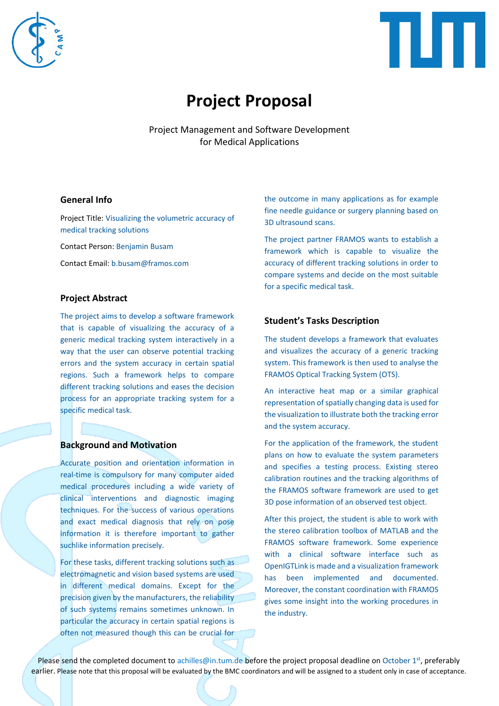



# **Project Proposal**

Project Management and Software Development for Medical Applications

#### **General Info**

Project Title: Visualizing the volumetric accuracy of medical tracking solutions

Contact Person: Benjamin Busam

Contact Email: b.busam@framos.com

# **Project Abstract**

The project aims to develop a software framework that is capable of visualizing the accuracy of a generic medical tracking system interactively in a way that the user can observe potential tracking errors and the system accuracy in certain spatial regions. Such a framework helps to compare different tracking solutions and eases the decision process for an appropriate tracking system for a specific medical task.

# **Background and Motivation**

Accurate position and orientation information in real-time is compulsory for many computer aided medical procedures including a wide variety of clinical interventions and diagnostic imaging techniques. For the success of various operations and exact medical diagnosis that rely on pose information it is therefore important to gather suchlike information precisely.

For these tasks, different tracking solutions such as electromagnetic and vision based systems are used in different medical domains. Except for the precision given by the manufacturers, the reliability of such systems remains sometimes unknown. In particular the accuracy in certain spatial regions is often not measured though this can be crucial for the outcome in many applications as for example fine needle guidance or surgery planning based on 3D ultrasound scans.

The project partner FRAMOS wants to establish a framework which is capable to visualize the accuracy of different tracking solutions in order to compare systems and decide on the most suitable for a specific medical task.

#### **Student's Tasks Description**

The student develops a framework that evaluates and visualizes the accuracy of a generic tracking system. This framework is then used to analyse the FRAMOS Optical Tracking System (OTS).

An interactive heat map or a similar graphical representation of spatially changing data is used for the visualization to illustrate both the tracking error and the system accuracy.

For the application of the framework, the student plans on how to evaluate the system parameters and specifies a testing process. Existing stereo calibration routines and the tracking algorithms of the FRAMOS software framework are used to get 3D pose information of an observed test object.

After this project, the student is able to work with the stereo calibration toolbox of MATLAB and the FRAMOS software framework. Some experience with a clinical software interface such as OpenIGTLink is made and a visualization framework has been implemented and documented. Moreover, the constant coordination with FRAMOS gives some insight into the working procedures in the industry.

Please send the completed document to achilles@in.tum.de before the project proposal deadline on October 1<sup>st</sup>, preferably earlier. Please note that this proposal will be evaluated by the BMC coordinators and will be assigned to a student only in case of acceptance.